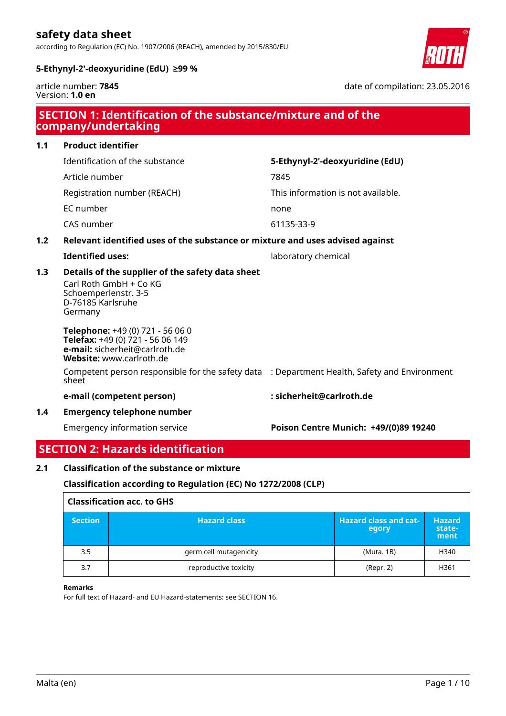according to Regulation (EC) No. 1907/2006 (REACH), amended by 2015/830/EU



date of compilation: 23.05.2016

#### **5-Ethynyl-2'-deoxyuridine (EdU) ≥99 %**

article number: **7845** Version: **1.0 en**

| SECTION 1: Identification of the substance/mixture and of the<br>company/undertaking |                                                                                                                                    |                                       |
|--------------------------------------------------------------------------------------|------------------------------------------------------------------------------------------------------------------------------------|---------------------------------------|
| 1.1                                                                                  | <b>Product identifier</b>                                                                                                          |                                       |
|                                                                                      | Identification of the substance                                                                                                    | 5-Ethynyl-2'-deoxyuridine (EdU)       |
|                                                                                      | Article number                                                                                                                     | 7845                                  |
|                                                                                      | Registration number (REACH)                                                                                                        | This information is not available.    |
|                                                                                      | EC number                                                                                                                          | none                                  |
|                                                                                      | CAS number                                                                                                                         | 61135-33-9                            |
| 1.2                                                                                  | Relevant identified uses of the substance or mixture and uses advised against                                                      |                                       |
|                                                                                      | <b>Identified uses:</b>                                                                                                            | laboratory chemical                   |
| 1.3                                                                                  | Details of the supplier of the safety data sheet<br>Carl Roth GmbH + Co KG<br>Schoemperlenstr. 3-5<br>D-76185 Karlsruhe<br>Germany |                                       |
|                                                                                      | Telephone: +49 (0) 721 - 56 06 0<br>Telefax: +49 (0) 721 - 56 06 149<br>e-mail: sicherheit@carlroth.de<br>Website: www.carlroth.de |                                       |
|                                                                                      | Competent person responsible for the safety data : Department Health, Safety and Environment<br>sheet                              |                                       |
|                                                                                      | e-mail (competent person)                                                                                                          | : sicherheit@carlroth.de              |
| 1.4                                                                                  | <b>Emergency telephone number</b>                                                                                                  |                                       |
|                                                                                      | <b>Emergency information service</b>                                                                                               | Poison Centre Munich: +49/(0)89 19240 |

## **SECTION 2: Hazards identification**

### **2.1 Classification of the substance or mixture**

### **Classification according to Regulation (EC) No 1272/2008 (CLP)**

| <b>Classification acc. to GHS</b> |                        |                                       |                                 |
|-----------------------------------|------------------------|---------------------------------------|---------------------------------|
| <b>Section</b>                    | <b>Hazard class</b>    | <b>Hazard class and cat-</b><br>egory | <b>Hazard</b><br>state-<br>ment |
| 3.5                               | germ cell mutagenicity | (Muta. 1B)                            | H340                            |
| 3.7                               | reproductive toxicity  | (Repr. 2)                             | H361                            |

#### **Remarks**

r

For full text of Hazard- and EU Hazard-statements: see SECTION 16.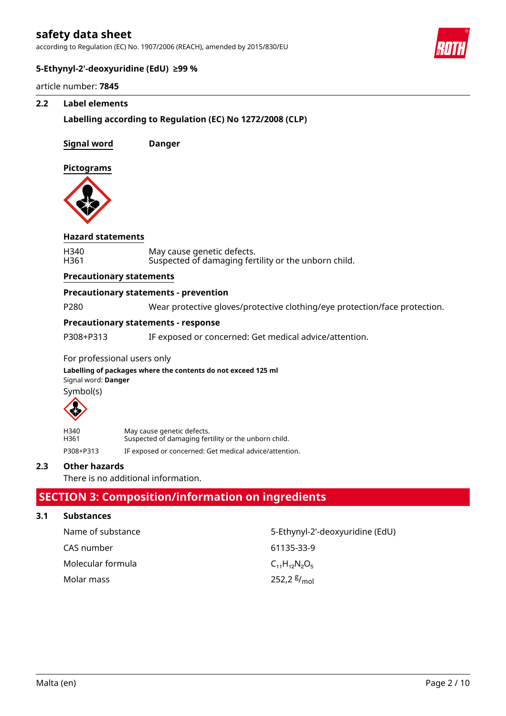according to Regulation (EC) No. 1907/2006 (REACH), amended by 2015/830/EU



#### **5-Ethynyl-2'-deoxyuridine (EdU) ≥99 %**

article number: **7845**

#### **2.2 Label elements**

### **Labelling according to Regulation (EC) No 1272/2008 (CLP)**

**Signal word Danger**

**Pictograms**



#### **Hazard statements**

| H340 | May cause genetic defects.                           |
|------|------------------------------------------------------|
| H361 | Suspected of damaging fertility or the unborn child. |

#### **Precautionary statements**

#### **Precautionary statements - prevention**

P280 Wear protective gloves/protective clothing/eye protection/face protection.

### **Precautionary statements - response**

P308+P313 IF exposed or concerned: Get medical advice/attention.

#### For professional users only

Signal word: **Danger Labelling of packages where the contents do not exceed 125 ml** Symbol(s)



| H340      | May cause genetic defects.                             |
|-----------|--------------------------------------------------------|
| H361      | Suspected of damaging fertility or the unborn child.   |
| P308+P313 | IF exposed or concerned: Get medical advice/attention. |

#### **2.3 Other hazards**

There is no additional information.

## **SECTION 3: Composition/information on ingredients**

#### **3.1 Substances**

| Name of substance | 5-Ethynyl-2'-deoxyuridine (EdU) |
|-------------------|---------------------------------|
| CAS number        | 61135-33-9                      |
| Molecular formula | $C_{11}H_{12}N_{2}O_{5}$        |
| Molar mass        | 252,2 $\frac{g}{mol}$           |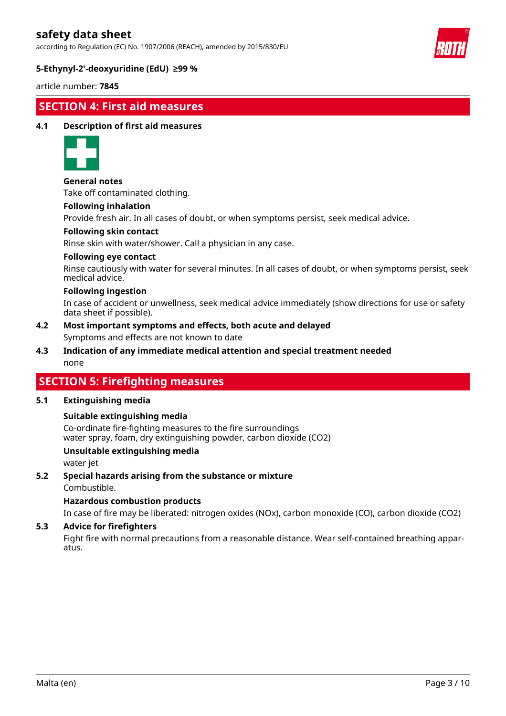according to Regulation (EC) No. 1907/2006 (REACH), amended by 2015/830/EU



### **5-Ethynyl-2'-deoxyuridine (EdU) ≥99 %**

article number: **7845**

## **SECTION 4: First aid measures**

#### **4.1 Description of first aid measures**



**General notes**

Take off contaminated clothing.

#### **Following inhalation**

Provide fresh air. In all cases of doubt, or when symptoms persist, seek medical advice.

#### **Following skin contact**

Rinse skin with water/shower. Call a physician in any case.

#### **Following eye contact**

Rinse cautiously with water for several minutes. In all cases of doubt, or when symptoms persist, seek medical advice.

#### **Following ingestion**

In case of accident or unwellness, seek medical advice immediately (show directions for use or safety data sheet if possible).

- Symptoms and effects are not known to date **4.2 Most important symptoms and effects, both acute and delayed**
- none **4.3 Indication of any immediate medical attention and special treatment needed**

## **SECTION 5: Firefighting measures**

#### **5.1 Extinguishing media**

#### **Suitable extinguishing media**

Co-ordinate fire-fighting measures to the fire surroundings water spray, foam, dry extinguishing powder, carbon dioxide (CO2)

### **Unsuitable extinguishing media**

water jet

**5.2 Special hazards arising from the substance or mixture**

Combustible.

#### **Hazardous combustion products**

In case of fire may be liberated: nitrogen oxides (NOx), carbon monoxide (CO), carbon dioxide (CO2)

### **5.3 Advice for firefighters**

Fight fire with normal precautions from a reasonable distance. Wear self-contained breathing apparatus.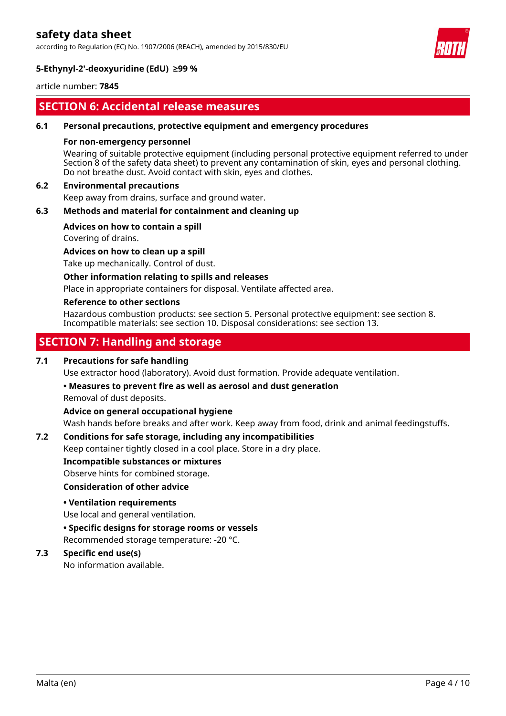according to Regulation (EC) No. 1907/2006 (REACH), amended by 2015/830/EU



### **5-Ethynyl-2'-deoxyuridine (EdU) ≥99 %**

article number: **7845**

## **SECTION 6: Accidental release measures**

#### **6.1 Personal precautions, protective equipment and emergency procedures**

#### **For non-emergency personnel**

Wearing of suitable protective equipment (including personal protective equipment referred to under Section 8 of the safety data sheet) to prevent any contamination of skin, eyes and personal clothing. Do not breathe dust. Avoid contact with skin, eyes and clothes.

#### **6.2 Environmental precautions**

Keep away from drains, surface and ground water.

### **6.3 Methods and material for containment and cleaning up**

#### **Advices on how to contain a spill**

Covering of drains.

**Advices on how to clean up a spill**

Take up mechanically. Control of dust.

#### **Other information relating to spills and releases**

Place in appropriate containers for disposal. Ventilate affected area.

#### **Reference to other sections**

Hazardous combustion products: see section 5. Personal protective equipment: see section 8. Incompatible materials: see section 10. Disposal considerations: see section 13.

## **SECTION 7: Handling and storage**

### **7.1 Precautions for safe handling**

Use extractor hood (laboratory). Avoid dust formation. Provide adequate ventilation.

#### **• Measures to prevent fire as well as aerosol and dust generation**

Removal of dust deposits.

#### **Advice on general occupational hygiene**

Wash hands before breaks and after work. Keep away from food, drink and animal feedingstuffs.

#### **7.2 Conditions for safe storage, including any incompatibilities**

Keep container tightly closed in a cool place. Store in a dry place.

**Incompatible substances or mixtures**

#### Observe hints for combined storage.

#### **Consideration of other advice**

#### **• Ventilation requirements**

Use local and general ventilation.

#### **• Specific designs for storage rooms or vessels**

Recommended storage temperature: -20 °C.

### **7.3 Specific end use(s)**

No information available.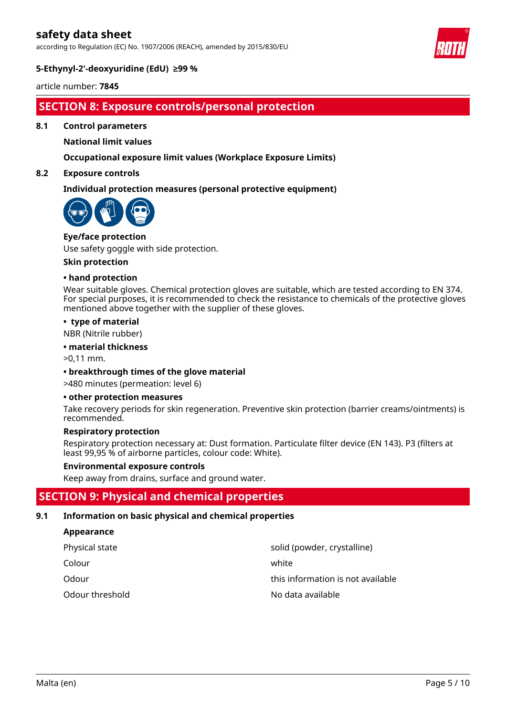according to Regulation (EC) No. 1907/2006 (REACH), amended by 2015/830/EU



### **5-Ethynyl-2'-deoxyuridine (EdU) ≥99 %**

article number: **7845**

## **SECTION 8: Exposure controls/personal protection**

**8.1 Control parameters**

**National limit values**

### **Occupational exposure limit values (Workplace Exposure Limits)**

#### **8.2 Exposure controls**

#### **Individual protection measures (personal protective equipment)**

![](_page_4_Picture_11.jpeg)

# **Eye/face protection**

Use safety goggle with side protection.

#### **Skin protection**

#### **• hand protection**

Wear suitable gloves. Chemical protection gloves are suitable, which are tested according to EN 374. For special purposes, it is recommended to check the resistance to chemicals of the protective gloves mentioned above together with the supplier of these gloves.

#### **• type of material**

NBR (Nitrile rubber)

#### **• material thickness**

>0,11 mm.

#### **• breakthrough times of the glove material**

>480 minutes (permeation: level 6)

#### **• other protection measures**

Take recovery periods for skin regeneration. Preventive skin protection (barrier creams/ointments) is recommended.

#### **Respiratory protection**

Respiratory protection necessary at: Dust formation. Particulate filter device (EN 143). P3 (filters at least 99,95 % of airborne particles, colour code: White).

#### **Environmental exposure controls**

Keep away from drains, surface and ground water.

## **SECTION 9: Physical and chemical properties**

#### **9.1 Information on basic physical and chemical properties**

#### **Appearance**

| Physical state  | solid (powder, crystalline)       |
|-----------------|-----------------------------------|
| Colour          | white                             |
| Odour           | this information is not available |
| Odour threshold | No data available                 |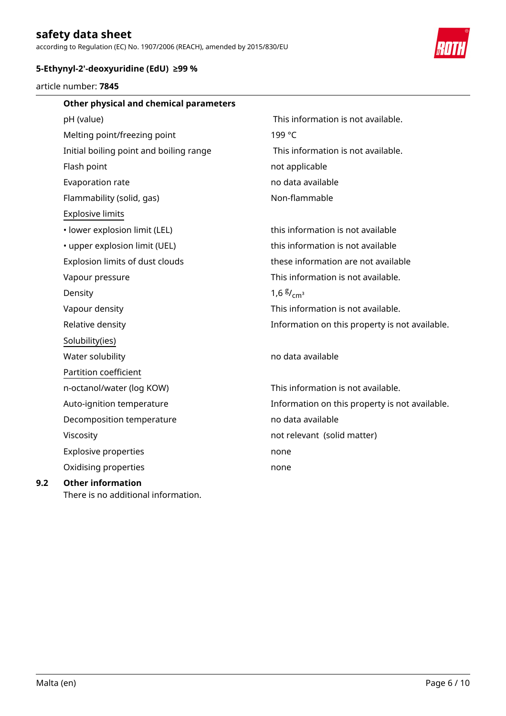according to Regulation (EC) No. 1907/2006 (REACH), amended by 2015/830/EU

![](_page_5_Picture_2.jpeg)

### **5-Ethynyl-2'-deoxyuridine (EdU) ≥99 %**

There is no additional information.

article number: **7845**

| Other physical and chemical parameters  |                                                |
|-----------------------------------------|------------------------------------------------|
| pH (value)                              | This information is not available.             |
| Melting point/freezing point            | 199 °C                                         |
| Initial boiling point and boiling range | This information is not available.             |
| Flash point                             | not applicable                                 |
| Evaporation rate                        | no data available                              |
| Flammability (solid, gas)               | Non-flammable                                  |
| <b>Explosive limits</b>                 |                                                |
| • lower explosion limit (LEL)           | this information is not available              |
| • upper explosion limit (UEL)           | this information is not available              |
| Explosion limits of dust clouds         | these information are not available            |
| Vapour pressure                         | This information is not available.             |
| Density                                 | 1,6 $\frac{g}{cm^3}$                           |
| Vapour density                          | This information is not available.             |
| Relative density                        | Information on this property is not available. |
| Solubility(ies)                         |                                                |
| Water solubility                        | no data available                              |
| Partition coefficient                   |                                                |
| n-octanol/water (log KOW)               | This information is not available.             |
| Auto-ignition temperature               | Information on this property is not available. |
| Decomposition temperature               | no data available                              |
| Viscosity                               | not relevant (solid matter)                    |
| <b>Explosive properties</b>             | none                                           |
| Oxidising properties                    | none                                           |
| <b>Other information</b>                |                                                |

**9.2**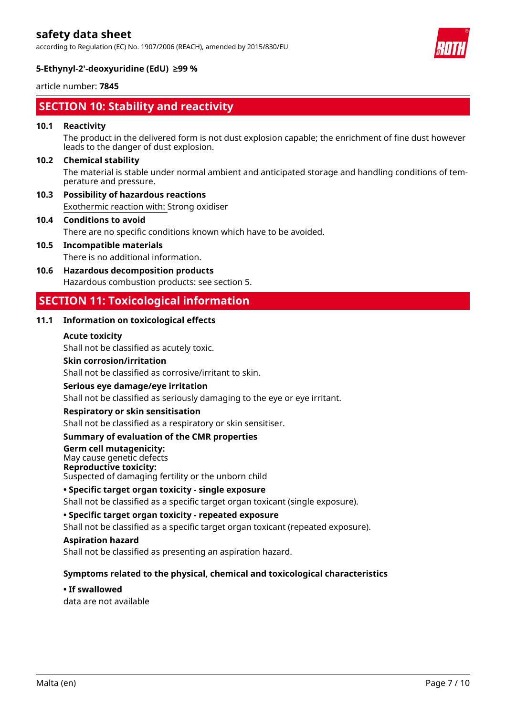according to Regulation (EC) No. 1907/2006 (REACH), amended by 2015/830/EU

![](_page_6_Picture_2.jpeg)

### **5-Ethynyl-2'-deoxyuridine (EdU) ≥99 %**

article number: **7845**

## **SECTION 10: Stability and reactivity**

### **10.1 Reactivity**

The product in the delivered form is not dust explosion capable; the enrichment of fine dust however leads to the danger of dust explosion.

### **10.2 Chemical stability**

The material is stable under normal ambient and anticipated storage and handling conditions of temperature and pressure.

Exothermic reaction with: Strong oxidiser **10.3 Possibility of hazardous reactions**

## **10.4 Conditions to avoid**

There are no specific conditions known which have to be avoided.

- There is no additional information. **10.5 Incompatible materials**
- Hazardous combustion products: see section 5. **10.6 Hazardous decomposition products**

## **SECTION 11: Toxicological information**

### **11.1 Information on toxicological effects**

#### **Acute toxicity**

Shall not be classified as acutely toxic.

#### **Skin corrosion/irritation**

Shall not be classified as corrosive/irritant to skin.

#### **Serious eye damage/eye irritation**

Shall not be classified as seriously damaging to the eye or eye irritant.

#### **Respiratory or skin sensitisation**

Shall not be classified as a respiratory or skin sensitiser.

#### **Summary of evaluation of the CMR properties**

**Germ cell mutagenicity:**  May cause genetic defects **Reproductive toxicity:** 

Suspected of damaging fertility or the unborn child

## **• Specific target organ toxicity - single exposure**

Shall not be classified as a specific target organ toxicant (single exposure).

**• Specific target organ toxicity - repeated exposure**

Shall not be classified as a specific target organ toxicant (repeated exposure).

#### **Aspiration hazard**

Shall not be classified as presenting an aspiration hazard.

#### **Symptoms related to the physical, chemical and toxicological characteristics**

data are not available **• If swallowed**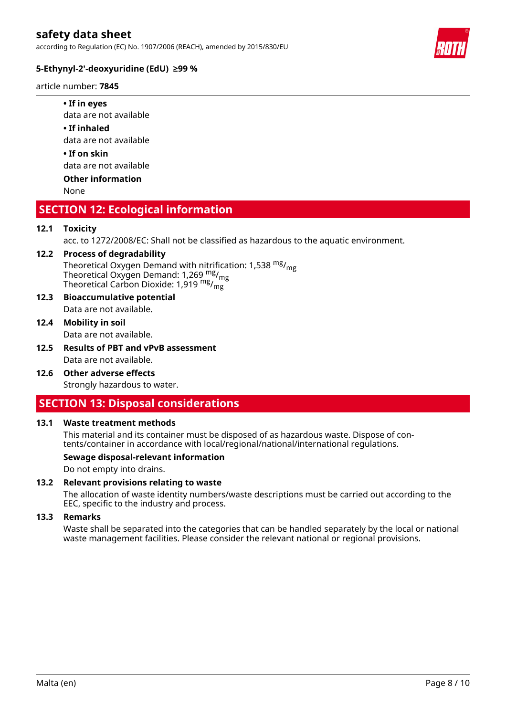according to Regulation (EC) No. 1907/2006 (REACH), amended by 2015/830/EU

![](_page_7_Picture_2.jpeg)

### **5-Ethynyl-2'-deoxyuridine (EdU) ≥99 %**

article number: **7845**

#### **• If in eyes**

data are not available

**• If inhaled**

data are not available

**• If on skin**

data are not available

### **Other information**

None

## **SECTION 12: Ecological information**

### **12.1 Toxicity**

acc. to 1272/2008/EC: Shall not be classified as hazardous to the aquatic environment.

## Theoretical Oxygen Demand with nitrification: 1,538  $mg/mg$ **12.2 Process of degradability**

Theoretical Oxygen Demand: 1,269  $\mathrm{mg}/\mathrm{mg}$ Theoretical Carbon Dioxide: 1,919  $mg/mg$ 

- Data are not available. **12.3 Bioaccumulative potential**
- **12.4 Mobility in soil**

Data are not available.

- Data are not available. **12.5 Results of PBT and vPvB assessment**
- Strongly hazardous to water. **12.6 Other adverse effects**

## **SECTION 13: Disposal considerations**

#### **13.1 Waste treatment methods**

This material and its container must be disposed of as hazardous waste. Dispose of contents/container in accordance with local/regional/national/international regulations.

#### **Sewage disposal-relevant information**

Do not empty into drains.

### **13.2 Relevant provisions relating to waste**

The allocation of waste identity numbers/waste descriptions must be carried out according to the EEC, specific to the industry and process.

#### **13.3 Remarks**

Waste shall be separated into the categories that can be handled separately by the local or national waste management facilities. Please consider the relevant national or regional provisions.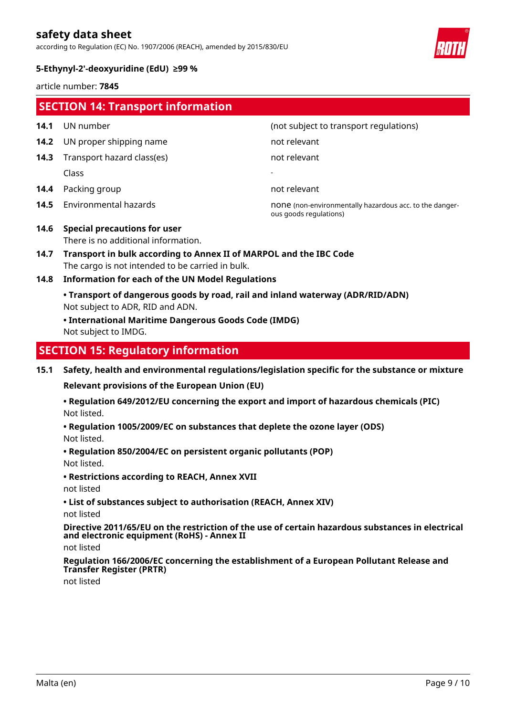according to Regulation (EC) No. 1907/2006 (REACH), amended by 2015/830/EU

![](_page_8_Picture_2.jpeg)

### **5-Ethynyl-2'-deoxyuridine (EdU) ≥99 %**

article number: **7845**

| <b>SECTION 14: Transport information</b>  |                                                                                                                                                                                                    |                                                                                   |  |
|-------------------------------------------|----------------------------------------------------------------------------------------------------------------------------------------------------------------------------------------------------|-----------------------------------------------------------------------------------|--|
| 14.1                                      | UN number                                                                                                                                                                                          | (not subject to transport regulations)                                            |  |
| 14.2                                      | UN proper shipping name                                                                                                                                                                            | not relevant                                                                      |  |
| 14.3                                      | Transport hazard class(es)                                                                                                                                                                         | not relevant                                                                      |  |
|                                           | Class                                                                                                                                                                                              |                                                                                   |  |
| 14.4                                      | Packing group                                                                                                                                                                                      | not relevant                                                                      |  |
| 14.5                                      | Environmental hazards                                                                                                                                                                              | none (non-environmentally hazardous acc. to the danger-<br>ous goods regulations) |  |
| 14.6                                      | <b>Special precautions for user</b><br>There is no additional information.                                                                                                                         |                                                                                   |  |
| 14.7                                      | Transport in bulk according to Annex II of MARPOL and the IBC Code<br>The cargo is not intended to be carried in bulk.                                                                             |                                                                                   |  |
| 14.8                                      | <b>Information for each of the UN Model Regulations</b>                                                                                                                                            |                                                                                   |  |
|                                           | • Transport of dangerous goods by road, rail and inland waterway (ADR/RID/ADN)<br>Not subject to ADR, RID and ADN.<br>• International Maritime Dangerous Goods Code (IMDG)<br>Not subject to IMDG. |                                                                                   |  |
| <b>SECTION 15: Regulatory information</b> |                                                                                                                                                                                                    |                                                                                   |  |

**15.1 Safety, health and environmental regulations/legislation specific for the substance or mixture**

**Relevant provisions of the European Union (EU)**

Not listed. **• Regulation 649/2012/EU concerning the export and import of hazardous chemicals (PIC)**

- Not listed. **• Regulation 1005/2009/EC on substances that deplete the ozone layer (ODS)**
- Not listed. **• Regulation 850/2004/EC on persistent organic pollutants (POP)**
- **Restrictions according to REACH, Annex XVII**
- not listed
- **List of substances subject to authorisation (REACH, Annex XIV)**

not listed

**Directive 2011/65/EU on the restriction of the use of certain hazardous substances in electrical and electronic equipment (RoHS) - Annex II**

not listed

**Regulation 166/2006/EC concerning the establishment of a European Pollutant Release and Transfer Register (PRTR)**

not listed